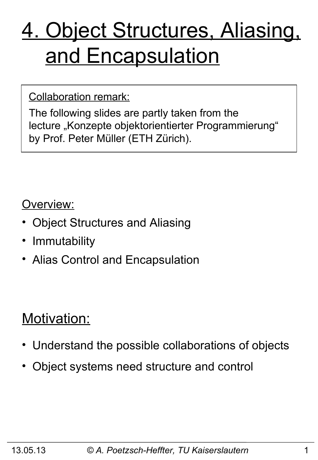# 4. Object Structures, Aliasing, and Encapsulation

#### Collaboration remark:

The following slides are partly taken from the lecture "Konzepte objektorientierter Programmierung" by Prof. Peter Müller (ETH Zürich).

#### Overview:

- Object Structures and Aliasing
- Immutability
- Alias Control and Encapsulation

### Motivation:

- Understand the possible collaborations of objects
- Object systems need structure and control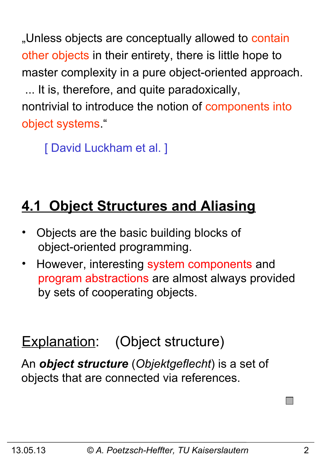"Unless objects are conceptually allowed to contain other objects in their entirety, there is little hope to master complexity in a pure object-oriented approach. ... It is, therefore, and quite paradoxically, nontrivial to introduce the notion of components into object systems."

[ David Luckham et al. ]

## **4.1 Object Structures and Aliasing**

- Objects are the basic building blocks of object-oriented programming.
- However, interesting system components and program abstractions are almost always provided by sets of cooperating objects.

## Explanation: (Object structure)

An *object structure* (*Objektgeflecht*) is a set of objects that are connected via references.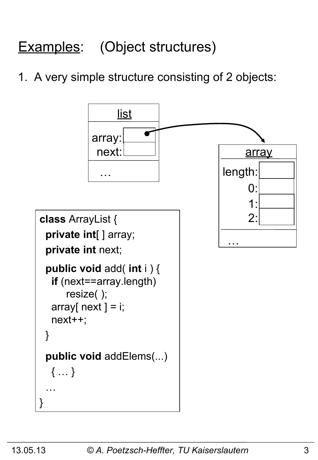## Examples: (Object structures)

1. A very simple structure consisting of 2 objects:

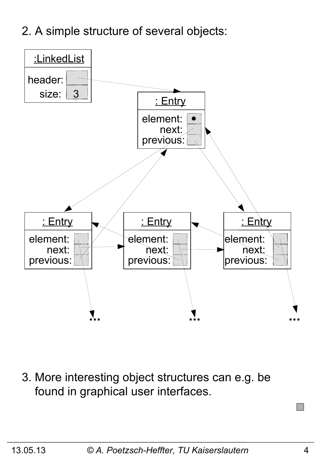2. A simple structure of several objects:



3. More interesting object structures can e.g. be found in graphical user interfaces.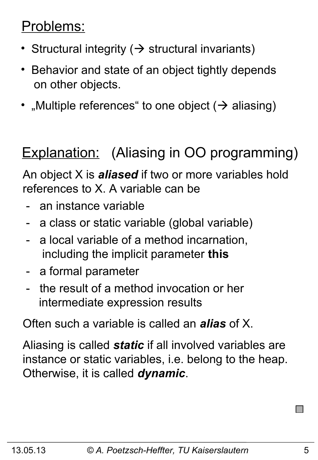### Problems:

- Structural integrity ( $\rightarrow$  structural invariants)
- Behavior and state of an object tightly depends on other objects.
- "Multiple references" to one object  $($   $\rightarrow$  aliasing)

## Explanation: (Aliasing in OO programming)

An object X is *aliased* if two or more variables hold references to X. A variable can be

- an instance variable
- a class or static variable (global variable)
- a local variable of a method incarnation, including the implicit parameter **this**
- a formal parameter
- the result of a method invocation or her intermediate expression results

Often such a variable is called an *alias* of X.

Aliasing is called *static* if all involved variables are instance or static variables, i.e. belong to the heap. Otherwise, it is called *dynamic*.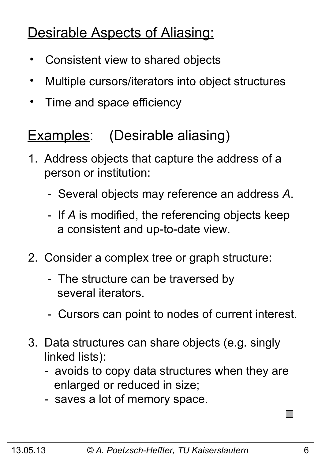## Desirable Aspects of Aliasing:

- Consistent view to shared objects
- Multiple cursors/iterators into object structures
- Time and space efficiency

## Examples: (Desirable aliasing)

- 1. Address objects that capture the address of a person or institution:
	- Several objects may reference an address *A*.
	- If *A* is modified, the referencing objects keep a consistent and up-to-date view.
- 2. Consider a complex tree or graph structure:
	- The structure can be traversed by several iterators.
	- Cursors can point to nodes of current interest.
- 3. Data structures can share objects (e.g. singly linked lists):
	- avoids to copy data structures when they are enlarged or reduced in size;
	- saves a lot of memory space.

 $\Box$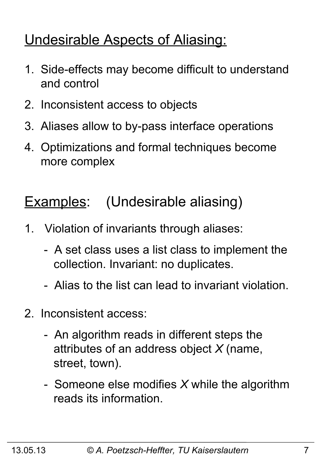## Undesirable Aspects of Aliasing:

- 1. Side-effects may become difficult to understand and control
- 2. Inconsistent access to objects
- 3. Aliases allow to by-pass interface operations
- 4. Optimizations and formal techniques become more complex

## Examples: (Undesirable aliasing)

- 1. Violation of invariants through aliases:
	- A set class uses a list class to implement the collection. Invariant: no duplicates.
	- Alias to the list can lead to invariant violation.
- 2. Inconsistent access:
	- An algorithm reads in different steps the attributes of an address object *X* (name, street, town).
	- Someone else modifies *X* while the algorithm reads its information.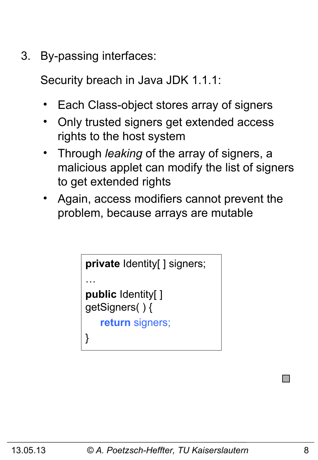3. By-passing interfaces:

Security breach in Java JDK 1.1.1:

- Each Class-object stores array of signers
- Only trusted signers get extended access rights to the host system
- Through *leaking* of the array of signers, a malicious applet can modify the list of signers to get extended rights
- Again, access modifiers cannot prevent the problem, because arrays are mutable

```
private Identity[ ] signers;
…
public Identity[ ] 
getSigners( ) {
    return signers;
}
```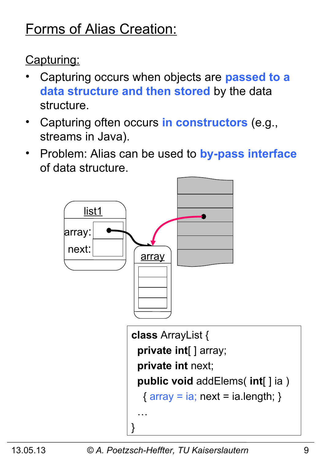## Forms of Alias Creation:

Capturing:

- Capturing occurs when objects are **passed to a data structure and then stored** by the data structure.
- Capturing often occurs **in constructors** (e.g., streams in Java).
- Problem: Alias can be used to **by-pass interface** of data structure.

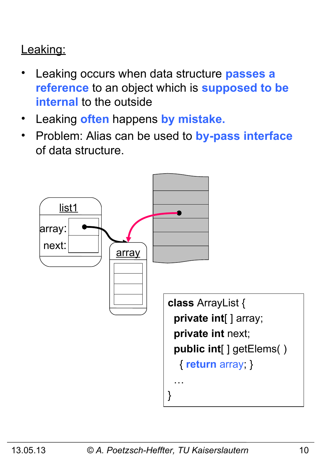#### Leaking:

- Leaking occurs when data structure **passes a reference** to an object which is **supposed to be internal** to the outside
- Leaking **often** happens **by mistake.**
- Problem: Alias can be used to **by-pass interface** of data structure.

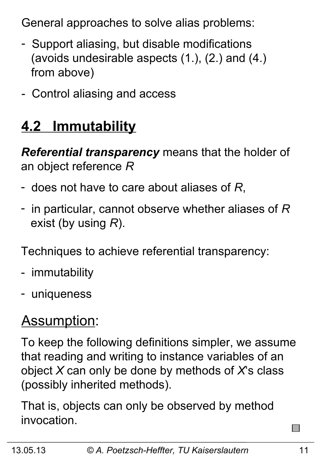General approaches to solve alias problems:

- Support aliasing, but disable modifications (avoids undesirable aspects (1.), (2.) and (4.) from above)
- Control aliasing and access

## **4.2 Immutability**

*Referential transparency* means that the holder of an object reference *R*

- does not have to care about aliases of *R*,
- in particular, cannot observe whether aliases of *R* exist (by using *R*).

Techniques to achieve referential transparency:

- immutability
- uniqueness

## Assumption:

To keep the following definitions simpler, we assume that reading and writing to instance variables of an object *X* can only be done by methods of *X*'s class (possibly inherited methods).

That is, objects can only be observed by method invocation.

 $\sim$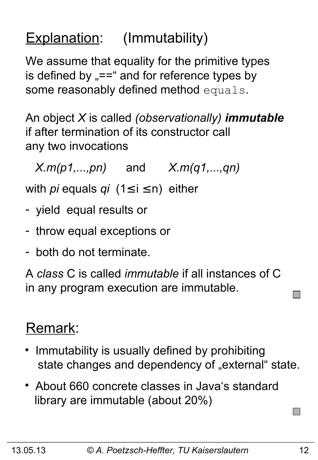## Explanation: (Immutability)

We assume that equality for the primitive types is defined by  $v = -\frac{1}{2}$  and for reference types by some reasonably defined method equals.

An object *X* is called *(observationally) immutable* if after termination of its constructor call any two invocations

*X.m(p1,...,pn)* and *X.m(q1,...,qn)*

with *pi* equals *qi* (1≤ i ≤ n) either

- yield equal results or
- throw equal exceptions or
- both do not terminate.

A *class* C is called *immutable* if all instances of C in any program execution are immutable.

### Remark:

- Immutability is usually defined by prohibiting state changes and dependency of "external" state.
- About 660 concrete classes in Java's standard library are immutable (about 20%)

 $\Box$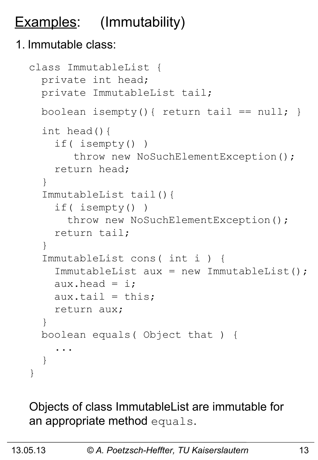## Examples: (Immutability)

#### 1. Immutable class:

```
class ImmutableList {
   private int head;
   private ImmutableList tail;
  boolean isempty(){ return tail == null; }
   int head(){
     if( isempty() )
       throw new NoSuchElementException();
     return head;
   }
   ImmutableList tail(){
     if( isempty() )
      throw new NoSuchElementException();
     return tail;
   }
   ImmutableList cons( int i ) {
     ImmutableList aux = new ImmutableList();
    aux.head = i;
    aux.tail = this; return aux;
   } 
   boolean equals( Object that ) {
 ...
   }
}
```
Objects of class ImmutableList are immutable for an appropriate method equals.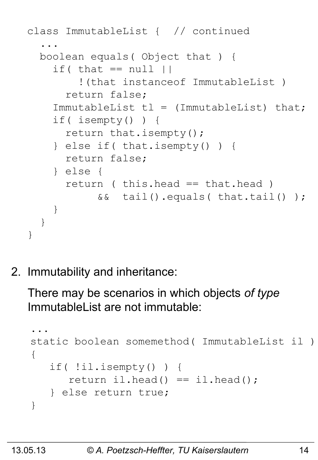```
class ImmutableList { // continued
 ...
  boolean equals( Object that ) {
    if( that == null |) !(that instanceof ImmutableList )
       return false;
    ImmutableList tl = (ImmutableList) that; if( isempty() ) {
       return that.isempty();
     } else if( that.isempty() ) {
       return false;
     } else {
       return ( this.head == that.head )
            && tail().equals( that.tail() );
 } 
   }
}
```
2. Immutability and inheritance:

There may be scenarios in which objects *of type* ImmutableList are not immutable:

```
...
static boolean somemethod( ImmutableList il )
{
    if( !il.isempty() ) {
      return il.head() == il.head();
    } else return true;
}
```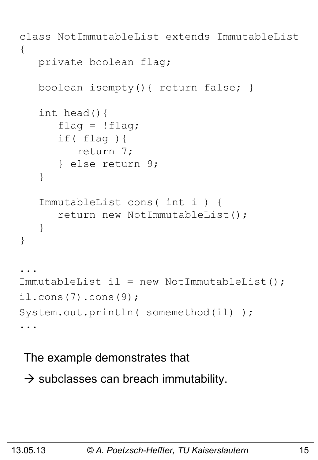```
class NotImmutableList extends ImmutableList
{
    private boolean flag;
    boolean isempty(){ return false; }
    int head(){
      flag = !flag; if( flag ){
          return 7;
       } else return 9;
    }
    ImmutableList cons( int i ) {
       return new NotImmutableList();
    }
}
...
ImmutableList il = new NotImmutableList();
il.cons(7).cons(9);
System.out.println( somemethod(il) );
...
```
The example demonstrates that

 $\rightarrow$  subclasses can breach immutability.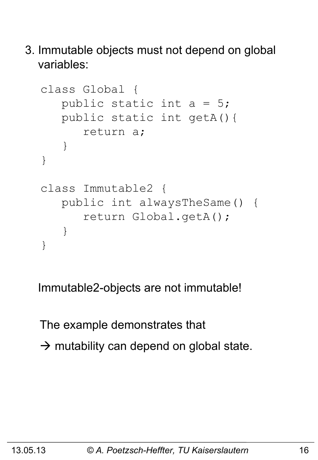3. Immutable objects must not depend on global variables:

```
class Global {
    public static int a = 5;
    public static int getA(){ 
       return a;
    }
}
class Immutable2 {
    public int alwaysTheSame() {
        return Global.getA();
    }
}
```
Immutable2-objects are not immutable!

The example demonstrates that  $\rightarrow$  mutability can depend on global state.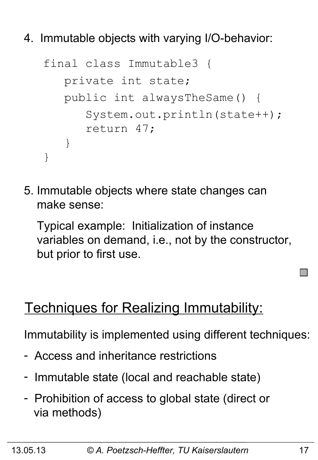4. Immutable objects with varying I/O-behavior:

```
final class Immutable3 {
    private int state;
    public int alwaysTheSame() {
       System.out.println(state++);
       return 47;
    }
}
```
5. Immutable objects where state changes can make sense:

 Typical example: Initialization of instance variables on demand, i.e., not by the constructor, but prior to first use.

### Techniques for Realizing Immutability:

Immutability is implemented using different techniques:

- Access and inheritance restrictions
- Immutable state (local and reachable state)
- Prohibition of access to global state (direct or via methods)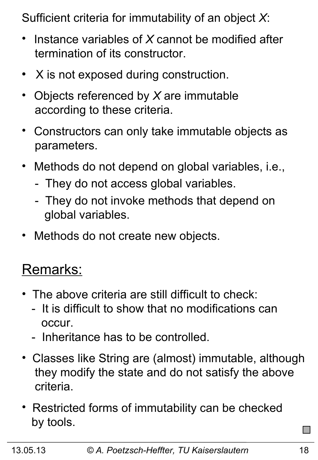Sufficient criteria for immutability of an object *X*:

- Instance variables of *X* cannot be modified after termination of its constructor.
- $\bullet$ X is not exposed during construction.
- Objects referenced by *X* are immutable according to these criteria.
- Constructors can only take immutable objects as parameters.
- Methods do not depend on global variables, i.e.,
	- They do not access global variables.
	- They do not invoke methods that depend on global variables.
- Methods do not create new objects.

### Remarks:

- The above criteria are still difficult to check:
	- It is difficult to show that no modifications can occur.
	- Inheritance has to be controlled.
- Classes like String are (almost) immutable, although they modify the state and do not satisfy the above criteria.
- Restricted forms of immutability can be checked by tools.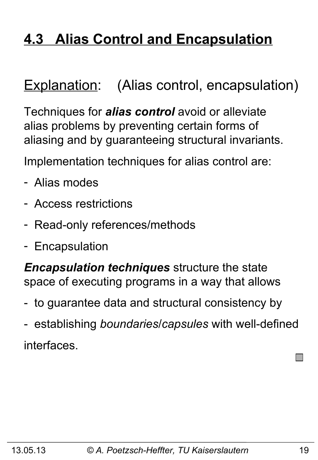## **4.3 Alias Control and Encapsulation**

### Explanation: (Alias control, encapsulation)

Techniques for *alias control* avoid or alleviate alias problems by preventing certain forms of aliasing and by guaranteeing structural invariants.

Implementation techniques for alias control are:

- Alias modes
- Access restrictions
- Read-only references/methods
- Encapsulation

*Encapsulation techniques* structure the state space of executing programs in a way that allows

- to guarantee data and structural consistency by
- establishing *boundaries*/*capsules* with well-defined interfaces.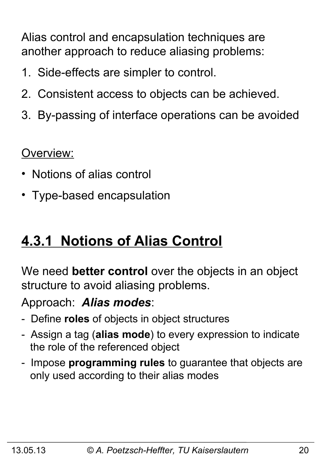Alias control and encapsulation techniques are another approach to reduce aliasing problems:

- 1. Side-effects are simpler to control.
- 2. Consistent access to objects can be achieved.
- 3. By-passing of interface operations can be avoided

Overview:

- Notions of alias control
- Type-based encapsulation

### **4.3.1 Notions of Alias Control**

We need **better control** over the objects in an object structure to avoid aliasing problems.

Approach: *Alias modes*:

- Define **roles** of objects in object structures
- Assign a tag (**alias mode**) to every expression to indicate the role of the referenced object
- Impose **programming rules** to guarantee that objects are only used according to their alias modes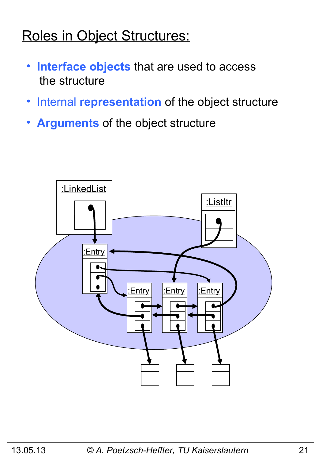### Roles in Object Structures:

- • **Interface objects** that are used to access the structure
- •Internal **representation** of the object structure
- • **Arguments** of the object structure

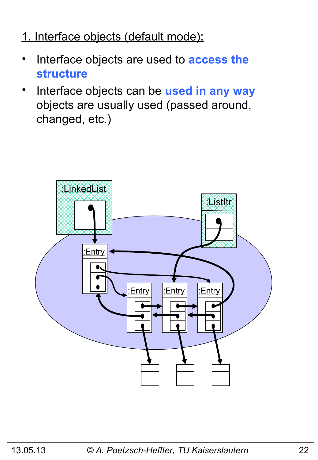#### 1. Interface objects (default mode):

- Interface objects are used to **access the structure**
- Interface objects can be **used in any way** objects are usually used (passed around, changed, etc.)

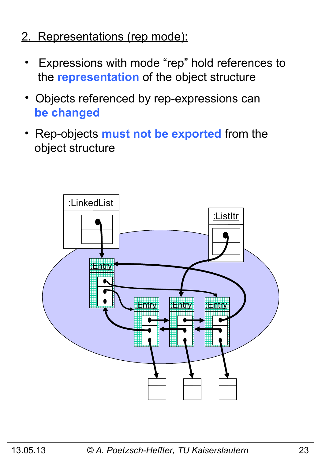- 2. Representations (rep mode):
	- Expressions with mode "rep" hold references to the **representation** of the object structure
	- Objects referenced by rep-expressions can  **be changed**
	- Rep-objects **must not be exported** from the object structure

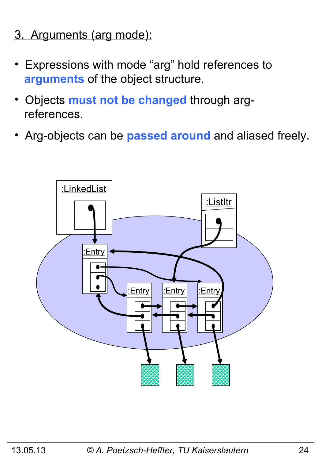- 3. Arguments (arg mode):
- Expressions with mode "arg" hold references to  **arguments** of the object structure.
- Objects **must not be changed** through arg references.
- Arg-objects can be **passed around** and aliased freely.

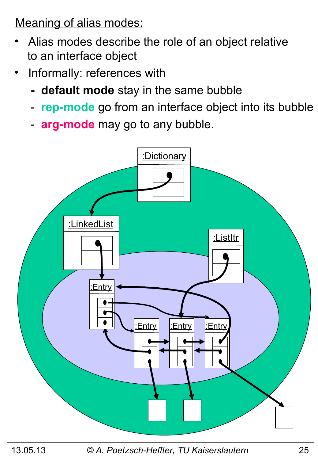Meaning of alias modes:

- Alias modes describe the role of an object relative to an interface object
- Informally: references with
	- **default mode** stay in the same bubble
	- **rep-mode** go from an interface object into its bubble
	- **arg-mode** may go to any bubble.



13.05.13 *© A. Poetzsch-Heffter, TU Kaiserslautern* 25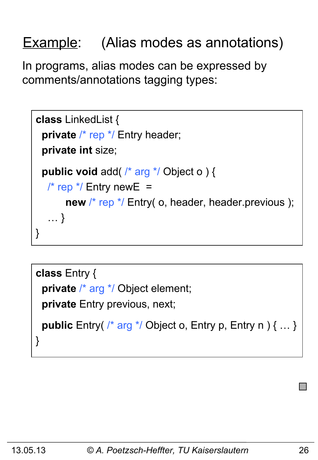## Example: (Alias modes as annotations)

In programs, alias modes can be expressed by comments/annotations tagging types:

```
class LinkedList {
 private /* rep */ Entry header;
  private int size;
  public void add( /* arg */ Object o ) { 
   \frac{1}{2} rep \frac{*}{2} Entry new E =
       new /* rep */ Entry( o, header, header.previous );
    … }
}
```

```
class Entry {
  private /* arg */ Object element;
  private Entry previous, next;
  public Entry( /* arg */ Object o, Entry p, Entry n ) { … }
}
```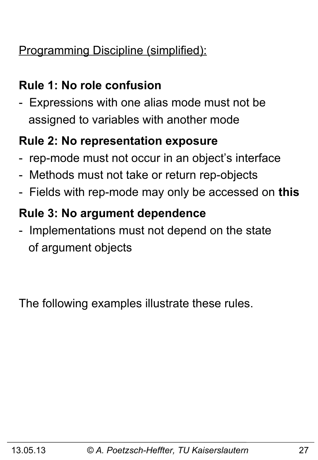#### Programming Discipline (simplified):

#### **Rule 1: No role confusion**

- Expressions with one alias mode must not be assigned to variables with another mode

#### **Rule 2: No representation exposure**

- rep-mode must not occur in an object's interface
- Methods must not take or return rep-objects
- Fields with rep-mode may only be accessed on **this**

#### **Rule 3: No argument dependence**

- Implementations must not depend on the state of argument objects

The following examples illustrate these rules.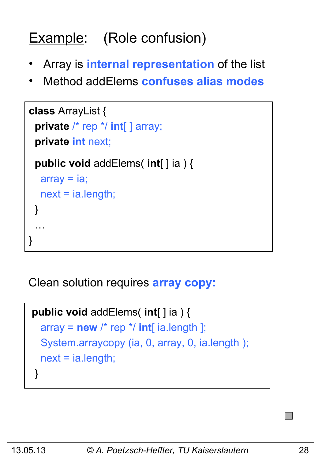## Example: (Role confusion)

- Array is **internal representation** of the list
- Method addElems **confuses alias modes**

```
class ArrayList {
  private /* rep */ int[ ] array;
  private int next;
  public void addElems( int[ ] ia ) {
  array = ia; next = ia.length;
  }
 …
}
```
Clean solution requires **array copy:** 

```
public void addElems( int[ ] ia ) {
  array = new /* rep */ int[i] ia.length ];
   System.arraycopy (ia, 0, array, 0, ia.length );
   next = ia.length;
 }
```
I II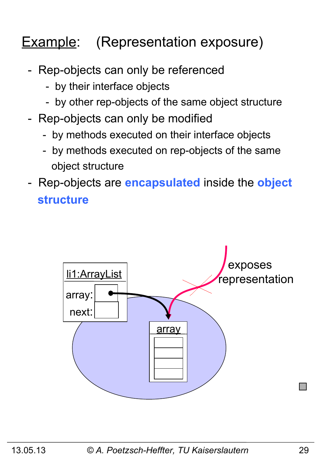## **Example:** (Representation exposure)

- Rep-objects can only be referenced
	- by their interface objects
	- by other rep-objects of the same object structure
- Rep-objects can only be modified
	- by methods executed on their interface objects
	- by methods executed on rep-objects of the same object structure
- Rep-objects are **encapsulated** inside the **object structure**

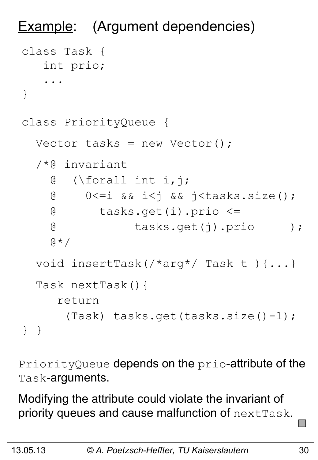```
Example: (Argument dependencies)
class Task {
    int prio;
     ...
}
class PriorityQueue {
  Vector tasks = new Vector();
   /*@ invariant 
     @ (\forall int i,j; 
     @ 0<=i && i<j && j<tasks.size();
     @ tasks.get(i).prio <= 
     @ tasks.get(j).prio );
    \theta \star / void insertTask(/*arg*/ Task t ){...}
   Task nextTask(){
      return 
        (Task) tasks.get(tasks.size()-1);
} }
```
PriorityQueue depends on the prio-attribute of the Task-arguments.

Modifying the attribute could violate the invariant of priority queues and cause malfunction of nextTask.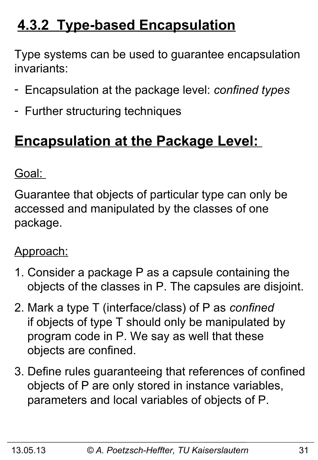## **4.3.2 Type-based Encapsulation**

Type systems can be used to guarantee encapsulation invariants:

- Encapsulation at the package level: *confined types*
- Further structuring techniques

## **Encapsulation at the Package Level:**

Goal:

Guarantee that objects of particular type can only be accessed and manipulated by the classes of one package.

#### Approach:

- 1. Consider a package P as a capsule containing the objects of the classes in P. The capsules are disjoint.
- 2. Mark a type T (interface/class) of P as *confined*  if objects of type T should only be manipulated by program code in P. We say as well that these objects are confined.
- 3. Define rules guaranteeing that references of confined objects of P are only stored in instance variables, parameters and local variables of objects of P.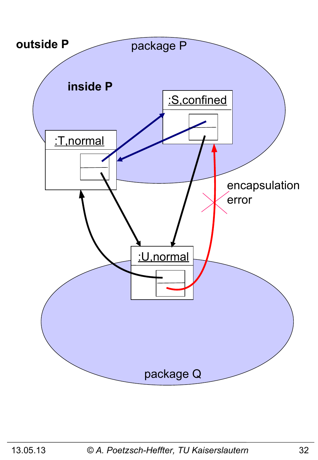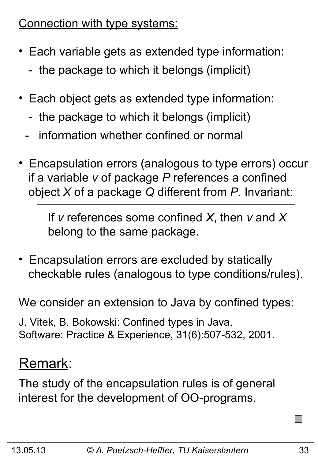Connection with type systems:

- Each variable gets as extended type information:
	- the package to which it belongs (implicit)
- Each object gets as extended type information:
	- the package to which it belongs (implicit)
	- information whether confined or normal
- Encapsulation errors (analogous to type errors) occur if a variable *v* of package *P* references a confined object *X* of a package *Q* different from *P*. Invariant:

 If *v* references some confined *X*, then *v* and *X* belong to the same package.

• Encapsulation errors are excluded by statically checkable rules (analogous to type conditions/rules).

We consider an extension to Java by confined types:

J. Vitek, B. Bokowski: Confined types in Java. Software: Practice & Experience, 31(6):507-532, 2001.

### Remark:

The study of the encapsulation rules is of general interest for the development of OO-programs.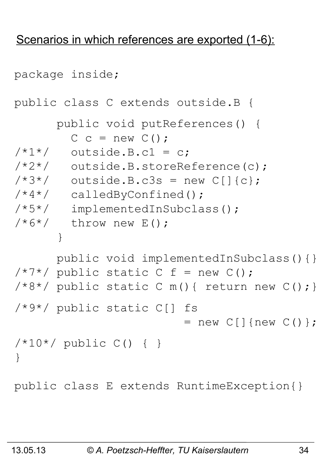#### Scenarios in which references are exported (1-6):

```
package inside;
public class C extends outside.B {
       public void putReferences() {
        C c = new C();
/ * 1*/ outside. B.c1 = c;
/*2*/ outside.B.storeReference(c);
/*3*/ outside.B.c3s = new C[]{c};
/*4*/ calledByConfined();
/*5*/ implementedInSubclass();
/ * 6*/ throw new E();
 }
       public void implementedInSubclass(){}
/ * 7 * / public static C f = new C();
/*8*/ public static C m(){ return new C(); }
/*9*/ public static C[] fs 
                        = new C[] {new C() };
/*10*/ public C() { }
}
public class E extends RuntimeException{}
```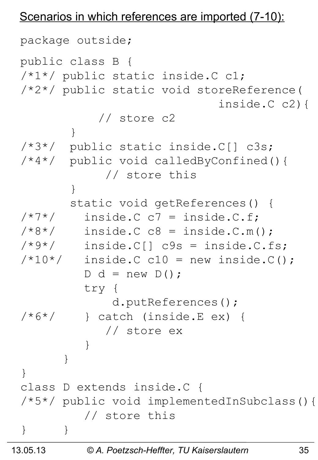#### Scenarios in which references are imported (7-10):

```
package outside;
public class B {
/*1*/ public static inside.C c1;
/*2*/ public static void storeReference(
                            inside.C c2){
            // store c2
 }
/*3*/ public static inside.C[] c3s;
/*4*/ public void calledByConfined(){
             // store this
 }
        static void getReferences() {
/ * 7*/ inside. C C = inside. C.f./*8*/ inside.C c8 = inside.C.m();
/*9*/ inside.C[] c9s = inside.C.fs;
/*10*/ inside. C C10 = new inside.C();
        D d = new D();
         try {
             d.putReferences();
/*6*/ } catch (inside.E ex) {
             // store ex
 }
 }
}
class D extends inside.C {
/*5*/ public void implementedInSubclass(){
          // store this
} }
```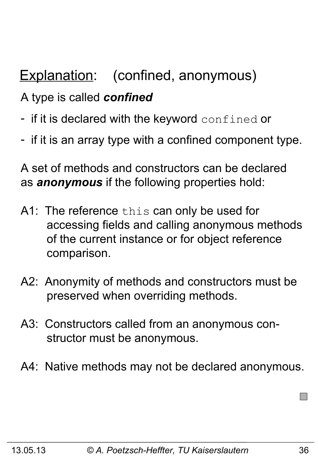## Explanation: (confined, anonymous)

#### A type is called *confined*

- if it is declared with the keyword confined or
- if it is an array type with a confined component type.

A set of methods and constructors can be declared as *anonymous* if the following properties hold:

- A1: The reference this can only be used for accessing fields and calling anonymous methods of the current instance or for object reference comparison.
- A2: Anonymity of methods and constructors must be preserved when overriding methods.
- A3: Constructors called from an anonymous con structor must be anonymous.
- A4: Native methods may not be declared anonymous.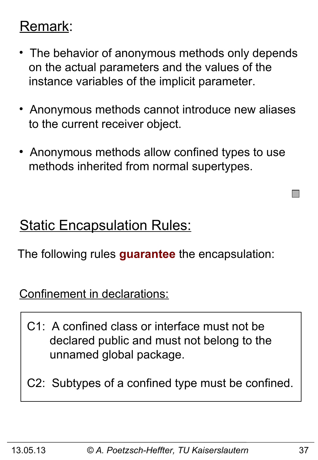### Remark:

- The behavior of anonymous methods only depends on the actual parameters and the values of the instance variables of the implicit parameter.
- Anonymous methods cannot introduce new aliases to the current receiver object.
- Anonymous methods allow confined types to use methods inherited from normal supertypes.

### **Static Encapsulation Rules:**

The following rules **guarantee** the encapsulation:

Confinement in declarations:

- C1: A confined class or interface must not be declared public and must not belong to the unnamed global package.
- C2: Subtypes of a confined type must be confined.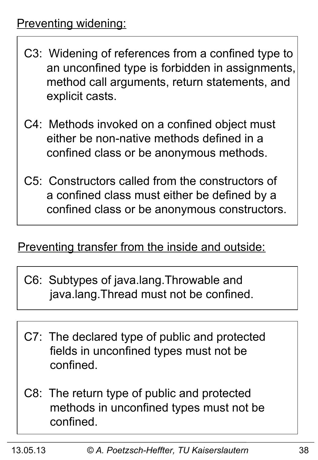- C3: Widening of references from a confined type to an unconfined type is forbidden in assignments, method call arguments, return statements, and explicit casts.
- C4: Methods invoked on a confined object must either be non-native methods defined in a confined class or be anonymous methods.
- C5: Constructors called from the constructors of a confined class must either be defined by a confined class or be anonymous constructors.

#### Preventing transfer from the inside and outside:

- C6: Subtypes of java.lang.Throwable and java.lang.Thread must not be confined.
- C7: The declared type of public and protected fields in unconfined types must not be confined.
- C8: The return type of public and protected methods in unconfined types must not be confined.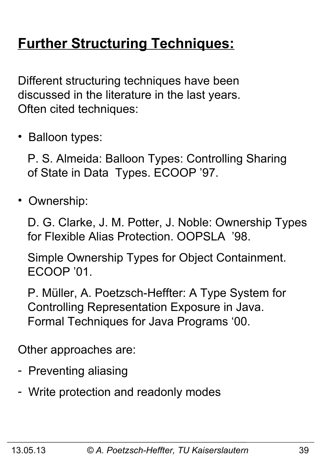## **Further Structuring Techniques:**

Different structuring techniques have been discussed in the literature in the last years. Often cited techniques:

• Balloon types:

 P. S. Almeida: Balloon Types: Controlling Sharing of State in Data Types. ECOOP '97.

• Ownership:

 D. G. Clarke, J. M. Potter, J. Noble: Ownership Types for Flexible Alias Protection. OOPSLA '98.

 Simple Ownership Types for Object Containment. ECOOP '01.

 P. Müller, A. Poetzsch-Heffter: A Type System for Controlling Representation Exposure in Java. Formal Techniques for Java Programs '00.

Other approaches are:

- Preventing aliasing
- Write protection and readonly modes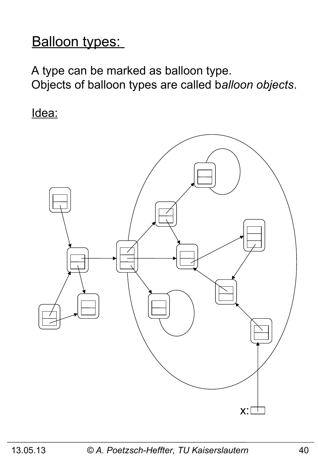### Balloon types:

A type can be marked as balloon type. Objects of balloon types are called b*alloon objects*.

Idea:

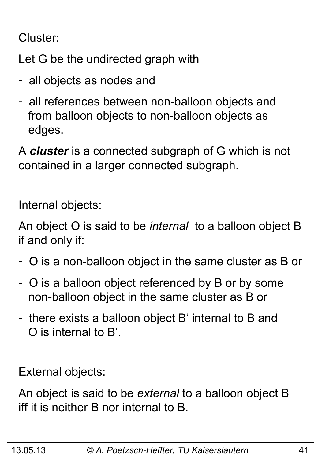#### Cluster:

Let G be the undirected graph with

- all objects as nodes and
- all references between non-balloon objects and from balloon objects to non-balloon objects as edges.

A *cluster* is a connected subgraph of G which is not contained in a larger connected subgraph.

Internal objects:

An object O is said to be *internal* to a balloon object B if and only if:

- O is a non-balloon object in the same cluster as B or
- O is a balloon object referenced by B or by some non-balloon object in the same cluster as B or
- there exists a balloon object B' internal to B and O is internal to B'.

**External objects:** 

An object is said to be *external* to a balloon object B iff it is neither B nor internal to B.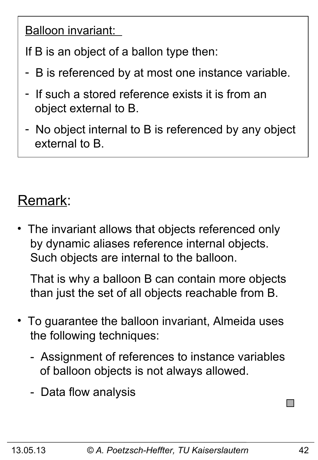Balloon invariant:

If B is an object of a ballon type then:

- B is referenced by at most one instance variable.
- If such a stored reference exists it is from an object external to B.
- No object internal to B is referenced by any object external to B.

## Remark:

The invariant allows that objects referenced only by dynamic aliases reference internal objects. Such objects are internal to the balloon.

 That is why a balloon B can contain more objects than just the set of all objects reachable from B.

- To guarantee the balloon invariant, Almeida uses the following techniques:
	- Assignment of references to instance variables of balloon objects is not always allowed.
	- Data flow analysis

**I**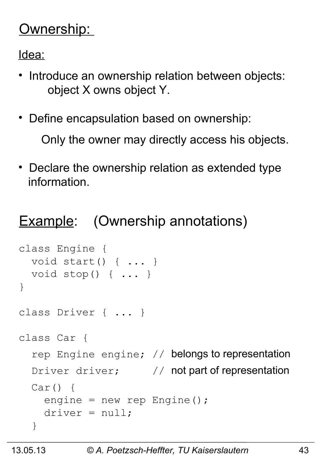### Ownership:

Idea:

- Introduce an ownership relation between objects: object X owns object Y.
- Define encapsulation based on ownership:

Only the owner may directly access his objects.

• Declare the ownership relation as extended type information.

## **Example:** (Ownership annotations)

```
class Engine { 
   void start() { ... }
   void stop() { ... }
}
class Driver { ... }
class Car {
  rep Engine engine; // belongs to representation
  Driver driver; \frac{1}{2} not part of representation
  Car() engine = new rep Engine();
    \text{driver} = \text{null};
   }
```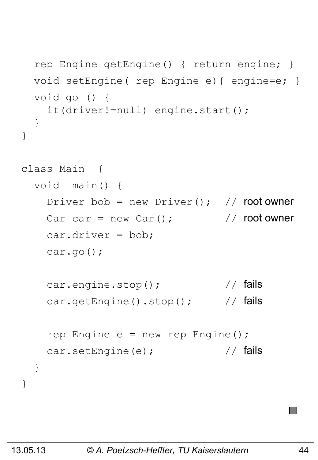```
 rep Engine getEngine() { return engine; }
   void setEngine( rep Engine e){ engine=e; }
   void go () {
     if(driver!=null) engine.start();
   }
}
class Main { 
   void main() {
    Driver bob = new Driver(); // root owner
    Car car = new Car(); \frac{1}{2} // root owner
     car.driver = bob;
     car.go();
    car.engine.stop(); \sqrt{7} fails
    car.getEngine().stop(); // fails
    rep Engine e = new rep Engine();
    car.setEngine(e); \frac{1}{2} // fails
   }
}
```